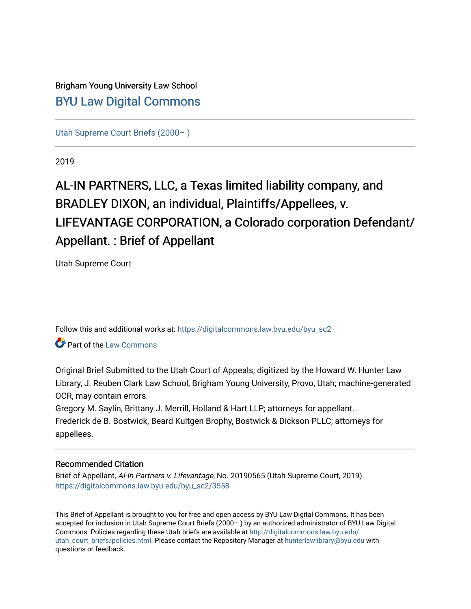# Brigham Young University Law School [BYU Law Digital Commons](https://digitalcommons.law.byu.edu/)

[Utah Supreme Court Briefs \(2000– \)](https://digitalcommons.law.byu.edu/byu_sc2)

2019

# AL-IN PARTNERS, LLC, a Texas limited liability company, and BRADLEY DIXON, an individual, Plaintiffs/Appellees, v. LIFEVANTAGE CORPORATION, a Colorado corporation Defendant/ Appellant. : Brief of Appellant

Utah Supreme Court

Follow this and additional works at: [https://digitalcommons.law.byu.edu/byu\\_sc2](https://digitalcommons.law.byu.edu/byu_sc2?utm_source=digitalcommons.law.byu.edu%2Fbyu_sc2%2F3558&utm_medium=PDF&utm_campaign=PDFCoverPages) 

**Part of the [Law Commons](https://network.bepress.com/hgg/discipline/578?utm_source=digitalcommons.law.byu.edu%2Fbyu_sc2%2F3558&utm_medium=PDF&utm_campaign=PDFCoverPages)** 

Original Brief Submitted to the Utah Court of Appeals; digitized by the Howard W. Hunter Law Library, J. Reuben Clark Law School, Brigham Young University, Provo, Utah; machine-generated OCR, may contain errors.

Gregory M. Saylin, Brittany J. Merrill, Holland & Hart LLP; attorneys for appellant. Frederick de B. Bostwick, Beard Kultgen Brophy, Bostwick & Dickson PLLC; attorneys for appellees.

#### Recommended Citation

Brief of Appellant, Al-In Partners v. Lifevantage, No. 20190565 (Utah Supreme Court, 2019). [https://digitalcommons.law.byu.edu/byu\\_sc2/3558](https://digitalcommons.law.byu.edu/byu_sc2/3558?utm_source=digitalcommons.law.byu.edu%2Fbyu_sc2%2F3558&utm_medium=PDF&utm_campaign=PDFCoverPages)

This Brief of Appellant is brought to you for free and open access by BYU Law Digital Commons. It has been accepted for inclusion in Utah Supreme Court Briefs (2000– ) by an authorized administrator of BYU Law Digital Commons. Policies regarding these Utah briefs are available at [http://digitalcommons.law.byu.edu/](http://digitalcommons.law.byu.edu/utah_court_briefs/policies.html) [utah\\_court\\_briefs/policies.html.](http://digitalcommons.law.byu.edu/utah_court_briefs/policies.html) Please contact the Repository Manager at hunterlawlibrary@byu.edu with questions or feedback.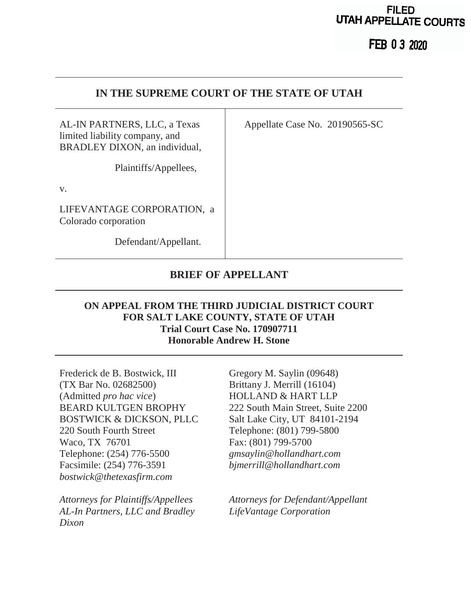# **FILED UTAH APPELLATE COURTS**

**FEB 0 3 2020** 

# **IN THE SUPREME COURT OF THE STATE OF UTAH**

AL-IN PARTNERS, LLC, a Texas limited liability company, and BRADLEY DIXON, an individual,

Plaintiffs/Appellees,

v.

LIFEVANTAGE CORPORATION, a Colorado corporation

Defendant/Appellant.

# **BRIEF OF APPELLANT**

# **ON APPEAL FROM THE THIRD JUDICIAL DISTRICT COURT FOR SALT LAKE COUNTY, STATE OF UTAH Trial Court Case No. 170907711 Honorable Andrew H. Stone**

Frederick de B. Bostwick, III (TX Bar No. 02682500) (Admitted *pro hac vice*) BEARD KULTGEN BROPHY BOSTWICK & DICKSON, PLLC 220 South Fourth Street Waco, TX 76701 Telephone: (254) 776-5500 Facsimile: (254) 776-3591 *bostwick@thetexasfirm.com*

*Attorneys for Plaintiffs/Appellees AL-In Partners, LLC and Bradley Dixon*

Gregory M. Saylin (09648) Brittany J. Merrill (16104) HOLLAND & HART LLP 222 South Main Street, Suite 2200 Salt Lake City, UT 84101-2194 Telephone: (801) 799-5800 Fax: (801) 799-5700 *gmsaylin@hollandhart.com bjmerrill@hollandhart.com*

*Attorneys for Defendant/Appellant LifeVantage Corporation*

Appellate Case No. 20190565-SC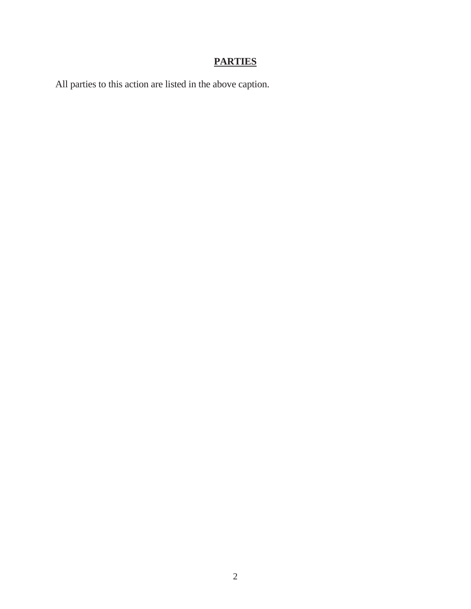# **PARTIES**

All parties to this action are listed in the above caption.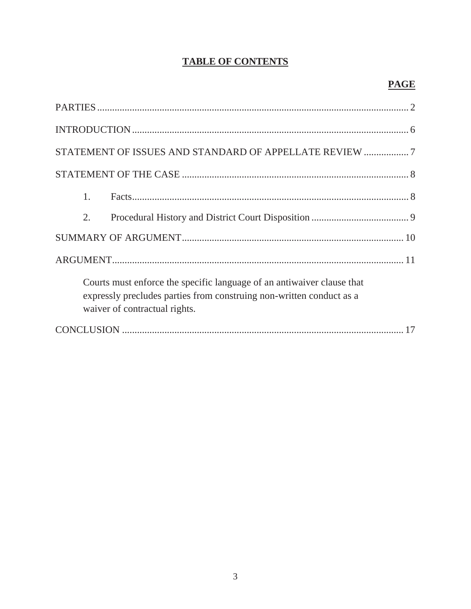# **TABLE OF CONTENTS**

| STATEMENT OF ISSUES AND STANDARD OF APPELLATE REVIEW 7                                                                                                                          |
|---------------------------------------------------------------------------------------------------------------------------------------------------------------------------------|
|                                                                                                                                                                                 |
| 1.                                                                                                                                                                              |
| 2.                                                                                                                                                                              |
|                                                                                                                                                                                 |
|                                                                                                                                                                                 |
| Courts must enforce the specific language of an antiwaiver clause that<br>expressly precludes parties from construing non-written conduct as a<br>waiver of contractual rights. |
|                                                                                                                                                                                 |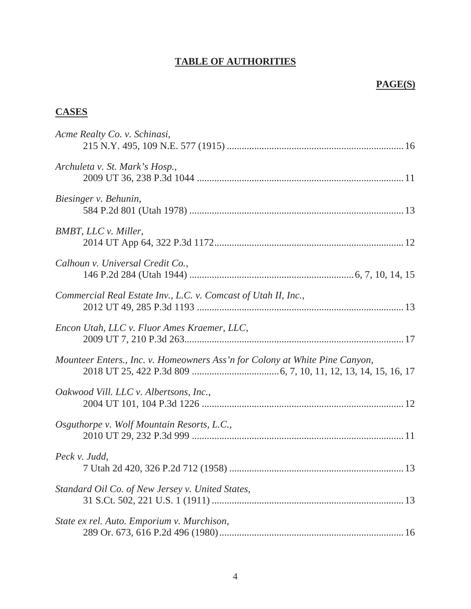# **TABLE OF AUTHORITIES**

## **PAGE(S)**

# **CASES**

| Acme Realty Co. v. Schinasi,                                                |
|-----------------------------------------------------------------------------|
| Archuleta v. St. Mark's Hosp.,                                              |
| Biesinger v. Behunin,                                                       |
| <b>BMBT, LLC v. Miller,</b>                                                 |
| Calhoun v. Universal Credit Co.,                                            |
| Commercial Real Estate Inv., L.C. v. Comcast of Utah II, Inc.,              |
| Encon Utah, LLC v. Fluor Ames Kraemer, LLC,                                 |
| Mounteer Enters., Inc. v. Homeowners Ass'n for Colony at White Pine Canyon, |
| Oakwood Vill. LLC v. Albertsons, Inc.,                                      |
| Osguthorpe v. Wolf Mountain Resorts, L.C.,                                  |
| Peck v. Judd,                                                               |
| Standard Oil Co. of New Jersey v. United States,                            |
| State ex rel. Auto. Emporium v. Murchison,                                  |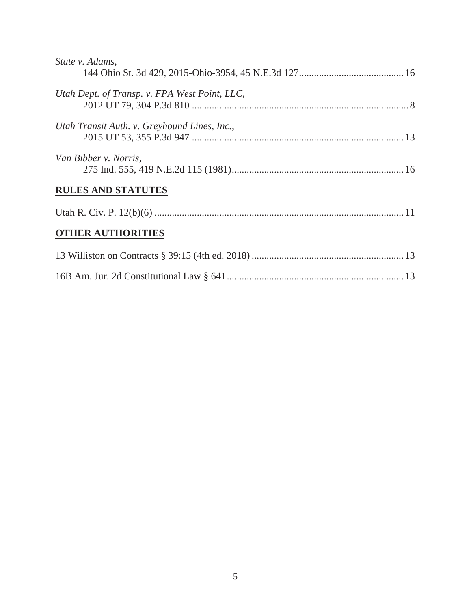| State v. Adams,                               |  |
|-----------------------------------------------|--|
| Utah Dept. of Transp. v. FPA West Point, LLC, |  |
| Utah Transit Auth. v. Greyhound Lines, Inc.,  |  |
| Van Bibber v. Norris,                         |  |
| <b>RULES AND STATUTES</b>                     |  |
|                                               |  |
| <b>OTHER AUTHORITIES</b>                      |  |
|                                               |  |
|                                               |  |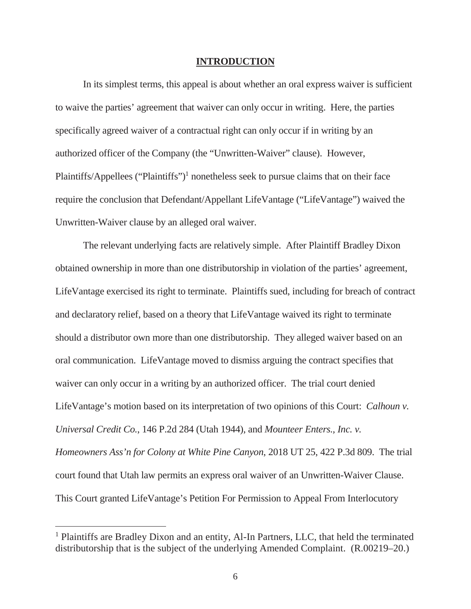#### **INTRODUCTION**

In its simplest terms, this appeal is about whether an oral express waiver is sufficient to waive the parties' agreement that waiver can only occur in writing. Here, the parties specifically agreed waiver of a contractual right can only occur if in writing by an authorized officer of the Company (the "Unwritten-Waiver" clause). However, Plaintiffs/Appellees ("Plaintiffs")<sup>1</sup> nonetheless seek to pursue claims that on their face require the conclusion that Defendant/Appellant LifeVantage ("LifeVantage") waived the Unwritten-Waiver clause by an alleged oral waiver.

The relevant underlying facts are relatively simple. After Plaintiff Bradley Dixon obtained ownership in more than one distributorship in violation of the parties' agreement, LifeVantage exercised its right to terminate. Plaintiffs sued, including for breach of contract and declaratory relief, based on a theory that LifeVantage waived its right to terminate should a distributor own more than one distributorship. They alleged waiver based on an oral communication. LifeVantage moved to dismiss arguing the contract specifies that waiver can only occur in a writing by an authorized officer. The trial court denied LifeVantage's motion based on its interpretation of two opinions of this Court: *Calhoun v. Universal Credit Co.*, 146 P.2d 284 (Utah 1944), and *Mounteer Enters., Inc. v. Homeowners Ass'n for Colony at White Pine Canyon*, 2018 UT 25, 422 P.3d 809. The trial court found that Utah law permits an express oral waiver of an Unwritten-Waiver Clause. This Court granted LifeVantage's Petition For Permission to Appeal From Interlocutory

<sup>&</sup>lt;sup>1</sup> Plaintiffs are Bradley Dixon and an entity, Al-In Partners, LLC, that held the terminated distributorship that is the subject of the underlying Amended Complaint. (R.00219–20.)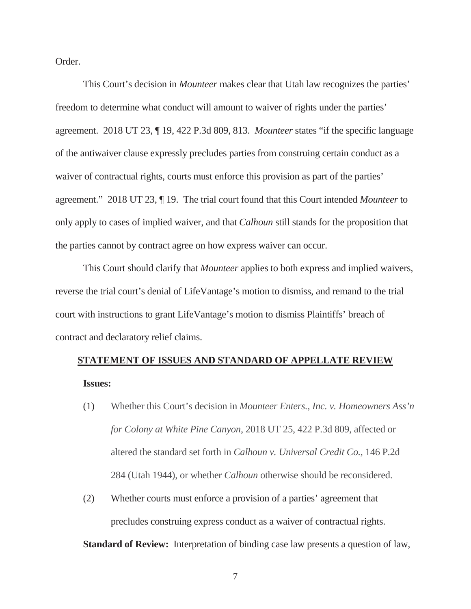Order.

This Court's decision in *Mounteer* makes clear that Utah law recognizes the parties' freedom to determine what conduct will amount to waiver of rights under the parties' agreement. 2018 UT 23, ¶ 19, 422 P.3d 809, 813. *Mounteer* states "if the specific language of the antiwaiver clause expressly precludes parties from construing certain conduct as a waiver of contractual rights, courts must enforce this provision as part of the parties' agreement." 2018 UT 23, ¶ 19. The trial court found that this Court intended *Mounteer* to only apply to cases of implied waiver, and that *Calhoun* still stands for the proposition that the parties cannot by contract agree on how express waiver can occur.

This Court should clarify that *Mounteer* applies to both express and implied waivers, reverse the trial court's denial of LifeVantage's motion to dismiss, and remand to the trial court with instructions to grant LifeVantage's motion to dismiss Plaintiffs' breach of contract and declaratory relief claims.

#### **STATEMENT OF ISSUES AND STANDARD OF APPELLATE REVIEW**

**Issues:**

- (1) Whether this Court's decision in *Mounteer Enters., Inc. v. Homeowners Ass'n for Colony at White Pine Canyon*, 2018 UT 25, 422 P.3d 809, affected or altered the standard set forth in *Calhoun v. Universal Credit Co.*, 146 P.2d 284 (Utah 1944), or whether *Calhoun* otherwise should be reconsidered.
- (2) Whether courts must enforce a provision of a parties' agreement that precludes construing express conduct as a waiver of contractual rights.

**Standard of Review:** Interpretation of binding case law presents a question of law,

7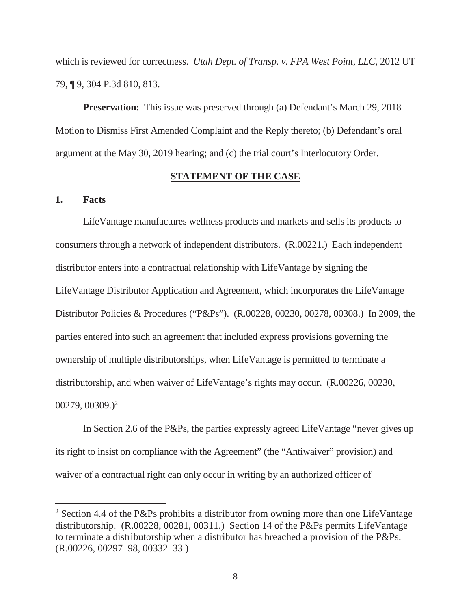which is reviewed for correctness. *Utah Dept. of Transp. v. FPA West Point, LLC*, 2012 UT 79, ¶ 9, 304 P.3d 810, 813.

**Preservation:** This issue was preserved through (a) Defendant's March 29, 2018 Motion to Dismiss First Amended Complaint and the Reply thereto; (b) Defendant's oral argument at the May 30, 2019 hearing; and (c) the trial court's Interlocutory Order.

#### **STATEMENT OF THE CASE**

#### **1. Facts**

 $\overline{a}$ 

 LifeVantage manufactures wellness products and markets and sells its products to consumers through a network of independent distributors. (R.00221.) Each independent distributor enters into a contractual relationship with LifeVantage by signing the LifeVantage Distributor Application and Agreement, which incorporates the LifeVantage Distributor Policies & Procedures ("P&Ps"). (R.00228, 00230, 00278, 00308.) In 2009, the parties entered into such an agreement that included express provisions governing the ownership of multiple distributorships, when LifeVantage is permitted to terminate a distributorship, and when waiver of LifeVantage's rights may occur. (R.00226, 00230,  $00279, 00309.$ <sup>2</sup>

In Section 2.6 of the P&Ps, the parties expressly agreed LifeVantage "never gives up its right to insist on compliance with the Agreement" (the "Antiwaiver" provision) and waiver of a contractual right can only occur in writing by an authorized officer of

<sup>&</sup>lt;sup>2</sup> Section 4.4 of the P&Ps prohibits a distributor from owning more than one LifeVantage distributorship. (R.00228, 00281, 00311.) Section 14 of the P&Ps permits LifeVantage to terminate a distributorship when a distributor has breached a provision of the P&Ps. (R.00226, 00297–98, 00332–33.)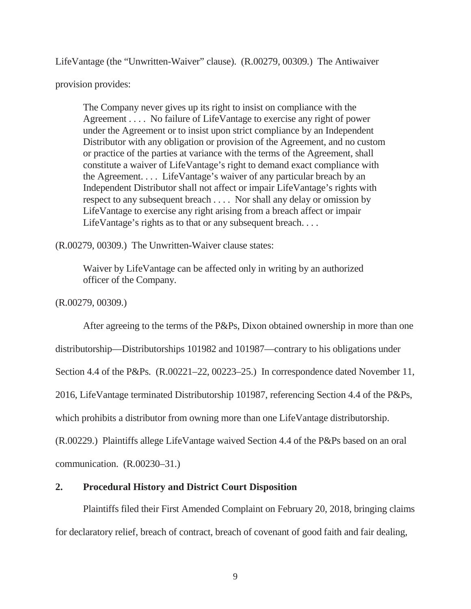LifeVantage (the "Unwritten-Waiver" clause). (R.00279, 00309.) The Antiwaiver

provision provides:

The Company never gives up its right to insist on compliance with the Agreement . . . . No failure of LifeVantage to exercise any right of power under the Agreement or to insist upon strict compliance by an Independent Distributor with any obligation or provision of the Agreement, and no custom or practice of the parties at variance with the terms of the Agreement, shall constitute a waiver of LifeVantage's right to demand exact compliance with the Agreement. . . . LifeVantage's waiver of any particular breach by an Independent Distributor shall not affect or impair LifeVantage's rights with respect to any subsequent breach . . . . Nor shall any delay or omission by LifeVantage to exercise any right arising from a breach affect or impair LifeVantage's rights as to that or any subsequent breach....

(R.00279, 00309.) The Unwritten-Waiver clause states:

Waiver by LifeVantage can be affected only in writing by an authorized officer of the Company.

(R.00279, 00309.)

After agreeing to the terms of the P&Ps, Dixon obtained ownership in more than one

distributorship—Distributorships 101982 and 101987—contrary to his obligations under

Section 4.4 of the P&Ps. (R.00221–22, 00223–25.) In correspondence dated November 11,

2016, LifeVantage terminated Distributorship 101987, referencing Section 4.4 of the P&Ps,

which prohibits a distributor from owning more than one LifeVantage distributorship.

(R.00229.) Plaintiffs allege LifeVantage waived Section 4.4 of the P&Ps based on an oral

communication. (R.00230–31.)

## **2. Procedural History and District Court Disposition**

Plaintiffs filed their First Amended Complaint on February 20, 2018, bringing claims for declaratory relief, breach of contract, breach of covenant of good faith and fair dealing,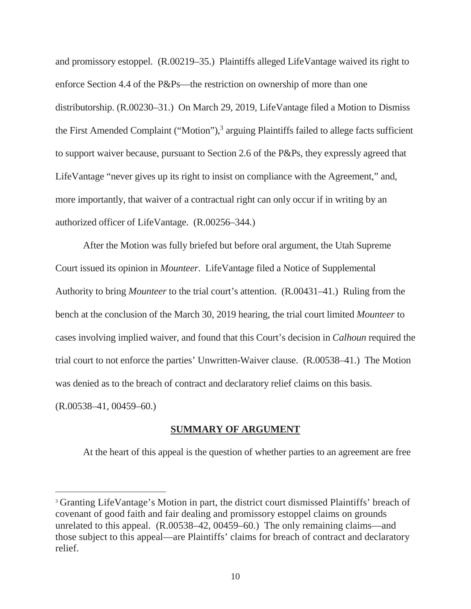and promissory estoppel. (R.00219–35.) Plaintiffs alleged LifeVantage waived its right to enforce Section 4.4 of the P&Ps—the restriction on ownership of more than one distributorship. (R.00230–31.) On March 29, 2019, LifeVantage filed a Motion to Dismiss the First Amended Complaint ("Motion"), 3 arguing Plaintiffs failed to allege facts sufficient to support waiver because, pursuant to Section 2.6 of the P&Ps, they expressly agreed that LifeVantage "never gives up its right to insist on compliance with the Agreement," and, more importantly, that waiver of a contractual right can only occur if in writing by an authorized officer of LifeVantage. (R.00256–344.)

After the Motion was fully briefed but before oral argument, the Utah Supreme Court issued its opinion in *Mounteer*. LifeVantage filed a Notice of Supplemental Authority to bring *Mounteer* to the trial court's attention. (R.00431–41.) Ruling from the bench at the conclusion of the March 30, 2019 hearing, the trial court limited *Mounteer* to cases involving implied waiver, and found that this Court's decision in *Calhoun* required the trial court to not enforce the parties' Unwritten-Waiver clause. (R.00538–41.) The Motion was denied as to the breach of contract and declaratory relief claims on this basis.

(R.00538–41, 00459–60.)

 $\overline{a}$ 

#### **SUMMARY OF ARGUMENT**

At the heart of this appeal is the question of whether parties to an agreement are free

<sup>3</sup> Granting LifeVantage's Motion in part, the district court dismissed Plaintiffs' breach of covenant of good faith and fair dealing and promissory estoppel claims on grounds unrelated to this appeal. (R.00538–42, 00459–60.) The only remaining claims—and those subject to this appeal—are Plaintiffs' claims for breach of contract and declaratory relief.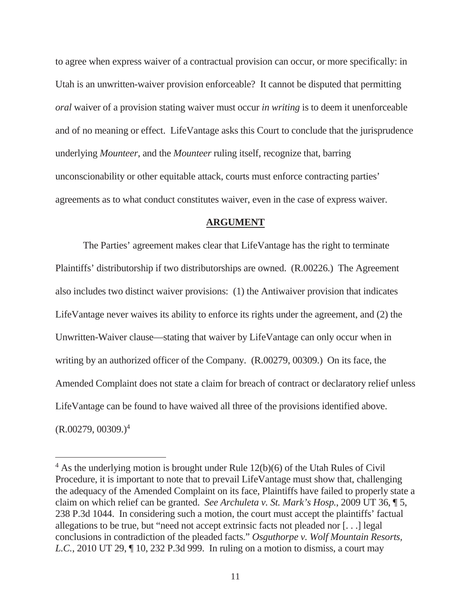to agree when express waiver of a contractual provision can occur, or more specifically: in Utah is an unwritten-waiver provision enforceable? It cannot be disputed that permitting *oral* waiver of a provision stating waiver must occur *in writing* is to deem it unenforceable and of no meaning or effect. LifeVantage asks this Court to conclude that the jurisprudence underlying *Mounteer*, and the *Mounteer* ruling itself, recognize that, barring unconscionability or other equitable attack, courts must enforce contracting parties' agreements as to what conduct constitutes waiver, even in the case of express waiver.

#### **ARGUMENT**

The Parties' agreement makes clear that LifeVantage has the right to terminate Plaintiffs' distributorship if two distributorships are owned. (R.00226.) The Agreement also includes two distinct waiver provisions: (1) the Antiwaiver provision that indicates LifeVantage never waives its ability to enforce its rights under the agreement, and (2) the Unwritten-Waiver clause—stating that waiver by LifeVantage can only occur when in writing by an authorized officer of the Company. (R.00279, 00309.) On its face, the Amended Complaint does not state a claim for breach of contract or declaratory relief unless LifeVantage can be found to have waived all three of the provisions identified above.  $(R.00279, 00309.)<sup>4</sup>$ 

 $4$  As the underlying motion is brought under Rule 12(b)(6) of the Utah Rules of Civil Procedure, it is important to note that to prevail LifeVantage must show that, challenging the adequacy of the Amended Complaint on its face, Plaintiffs have failed to properly state a claim on which relief can be granted. *See Archuleta v. St. Mark's Hosp.*, 2009 UT 36, ¶ 5, 238 P.3d 1044. In considering such a motion, the court must accept the plaintiffs' factual allegations to be true, but "need not accept extrinsic facts not pleaded nor [. . .] legal conclusions in contradiction of the pleaded facts." *Osguthorpe v. Wolf Mountain Resorts, L.C.*, 2010 UT 29,  $\P$  10, 232 P.3d 999. In ruling on a motion to dismiss, a court may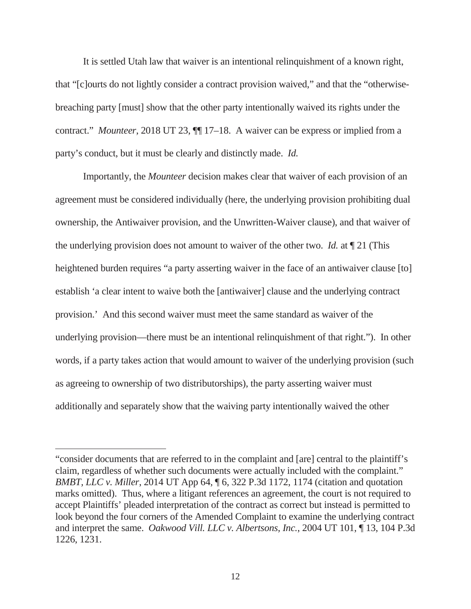It is settled Utah law that waiver is an intentional relinquishment of a known right, that "[c]ourts do not lightly consider a contract provision waived," and that the "otherwisebreaching party [must] show that the other party intentionally waived its rights under the contract." *Mounteer*, 2018 UT 23, ¶¶ 17–18. A waiver can be express or implied from a party's conduct, but it must be clearly and distinctly made. *Id.*

Importantly, the *Mounteer* decision makes clear that waiver of each provision of an agreement must be considered individually (here, the underlying provision prohibiting dual ownership, the Antiwaiver provision, and the Unwritten-Waiver clause), and that waiver of the underlying provision does not amount to waiver of the other two. *Id.* at ¶ 21 (This heightened burden requires "a party asserting waiver in the face of an antiwaiver clause [to] establish 'a clear intent to waive both the [antiwaiver] clause and the underlying contract provision.' And this second waiver must meet the same standard as waiver of the underlying provision—there must be an intentional relinquishment of that right."). In other words, if a party takes action that would amount to waiver of the underlying provision (such as agreeing to ownership of two distributorships), the party asserting waiver must additionally and separately show that the waiving party intentionally waived the other

<sup>&</sup>quot;consider documents that are referred to in the complaint and [are] central to the plaintiff's claim, regardless of whether such documents were actually included with the complaint." *BMBT, LLC v. Miller*, 2014 UT App 64, ¶ 6, 322 P.3d 1172, 1174 (citation and quotation marks omitted). Thus, where a litigant references an agreement, the court is not required to accept Plaintiffs' pleaded interpretation of the contract as correct but instead is permitted to look beyond the four corners of the Amended Complaint to examine the underlying contract and interpret the same. *Oakwood Vill. LLC v. Albertsons, Inc.*, 2004 UT 101, ¶ 13, 104 P.3d 1226, 1231.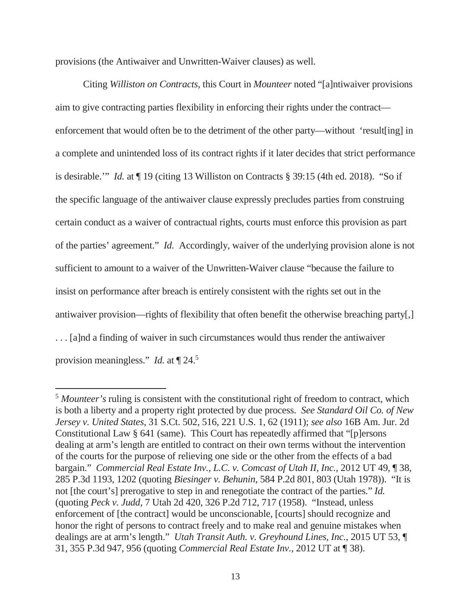provisions (the Antiwaiver and Unwritten-Waiver clauses) as well.

 $\overline{a}$ 

Citing *Williston on Contracts*, this Court in *Mounteer* noted "[a]ntiwaiver provisions aim to give contracting parties flexibility in enforcing their rights under the contract enforcement that would often be to the detriment of the other party—without 'result[ing] in a complete and unintended loss of its contract rights if it later decides that strict performance is desirable.'" *Id.* at ¶ 19 (citing 13 Williston on Contracts § 39:15 (4th ed. 2018). "So if the specific language of the antiwaiver clause expressly precludes parties from construing certain conduct as a waiver of contractual rights, courts must enforce this provision as part of the parties' agreement." *Id.* Accordingly, waiver of the underlying provision alone is not sufficient to amount to a waiver of the Unwritten-Waiver clause "because the failure to insist on performance after breach is entirely consistent with the rights set out in the antiwaiver provision—rights of flexibility that often benefit the otherwise breaching party[,] . . . [a]nd a finding of waiver in such circumstances would thus render the antiwaiver provision meaningless." *Id.* at  $\P$  24.<sup>5</sup>

<sup>5</sup> *Mounteer's* ruling is consistent with the constitutional right of freedom to contract, which is both a liberty and a property right protected by due process. *See Standard Oil Co. of New Jersey v. United States*, 31 S.Ct. 502, 516, 221 U.S. 1, 62 (1911); *see also* 16B Am. Jur. 2d Constitutional Law § 641 (same). This Court has repeatedly affirmed that "[p]ersons dealing at arm's length are entitled to contract on their own terms without the intervention of the courts for the purpose of relieving one side or the other from the effects of a bad bargain." *Commercial Real Estate Inv., L.C. v. Comcast of Utah II, Inc.*, 2012 UT 49, ¶ 38, 285 P.3d 1193, 1202 (quoting *Biesinger v. Behunin*, 584 P.2d 801, 803 (Utah 1978)). "It is not [the court's] prerogative to step in and renegotiate the contract of the parties." *Id.* (quoting *Peck v. Judd*, 7 Utah 2d 420, 326 P.2d 712, 717 (1958). "Instead, unless enforcement of [the contract] would be unconscionable, [courts] should recognize and honor the right of persons to contract freely and to make real and genuine mistakes when dealings are at arm's length." *Utah Transit Auth. v. Greyhound Lines, Inc.*, 2015 UT 53, ¶ 31, 355 P.3d 947, 956 (quoting *Commercial Real Estate Inv.*, 2012 UT at ¶ 38).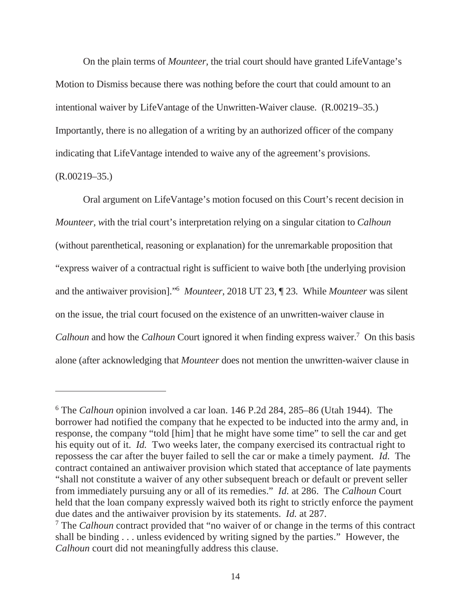On the plain terms of *Mounteer,* the trial court should have granted LifeVantage's Motion to Dismiss because there was nothing before the court that could amount to an intentional waiver by LifeVantage of the Unwritten-Waiver clause. (R.00219–35.) Importantly, there is no allegation of a writing by an authorized officer of the company indicating that LifeVantage intended to waive any of the agreement's provisions. (R.00219–35.)

# Oral argument on LifeVantage's motion focused on this Court's recent decision in *Mounteer, w*ith the trial court's interpretation relying on a singular citation to *Calhoun*  (without parenthetical, reasoning or explanation) for the unremarkable proposition that "express waiver of a contractual right is sufficient to waive both [the underlying provision and the antiwaiver provision]."<sup>6</sup> *Mounteer*, 2018 UT 23, ¶ 23. While *Mounteer* was silent on the issue, the trial court focused on the existence of an unwritten-waiver clause in Calhoun and how the *Calhoun* Court ignored it when finding express waiver.<sup>7</sup> On this basis alone (after acknowledging that *Mounteer* does not mention the unwritten-waiver clause in

<sup>6</sup> The *Calhoun* opinion involved a car loan. 146 P.2d 284, 285–86 (Utah 1944). The borrower had notified the company that he expected to be inducted into the army and, in response, the company "told [him] that he might have some time" to sell the car and get his equity out of it. *Id.* Two weeks later, the company exercised its contractual right to repossess the car after the buyer failed to sell the car or make a timely payment*. Id.* The contract contained an antiwaiver provision which stated that acceptance of late payments "shall not constitute a waiver of any other subsequent breach or default or prevent seller from immediately pursuing any or all of its remedies." *Id.* at 286. The *Calhoun* Court held that the loan company expressly waived both its right to strictly enforce the payment due dates and the antiwaiver provision by its statements. *Id.* at 287.

<sup>7</sup> The *Calhoun* contract provided that "no waiver of or change in the terms of this contract shall be binding . . . unless evidenced by writing signed by the parties." However, the *Calhoun* court did not meaningfully address this clause.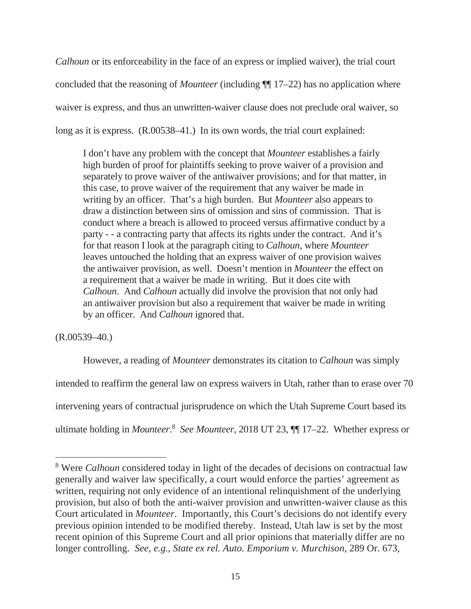*Calhoun* or its enforceability in the face of an express or implied waiver), the trial court concluded that the reasoning of *Mounteer* (including ¶¶ 17–22) has no application where waiver is express, and thus an unwritten-waiver clause does not preclude oral waiver, so long as it is express.  $(R.00538-41.)$  In its own words, the trial court explained:

I don't have any problem with the concept that *Mounteer* establishes a fairly high burden of proof for plaintiffs seeking to prove waiver of a provision and separately to prove waiver of the antiwaiver provisions; and for that matter, in this case, to prove waiver of the requirement that any waiver be made in writing by an officer. That's a high burden. But *Mounteer* also appears to draw a distinction between sins of omission and sins of commission. That is conduct where a breach is allowed to proceed versus affirmative conduct by a party - - a contracting party that affects its rights under the contract. And it's for that reason I look at the paragraph citing to *Calhoun*, where *Mounteer*  leaves untouched the holding that an express waiver of one provision waives the antiwaiver provision, as well. Doesn't mention in *Mounteer* the effect on a requirement that a waiver be made in writing. But it does cite with *Calhoun*. And *Calhoun* actually did involve the provision that not only had an antiwaiver provision but also a requirement that waiver be made in writing by an officer. And *Calhoun* ignored that.

(R.00539–40.)

 $\overline{a}$ 

However, a reading of *Mounteer* demonstrates its citation to *Calhoun* was simply intended to reaffirm the general law on express waivers in Utah, rather than to erase over 70 intervening years of contractual jurisprudence on which the Utah Supreme Court based its ultimate holding in *Mounteer*.<sup>8</sup> See Mounteer, 2018 UT 23,  $\P$  17–22. Whether express or

<sup>&</sup>lt;sup>8</sup> Were *Calhoun* considered today in light of the decades of decisions on contractual law generally and waiver law specifically, a court would enforce the parties' agreement as written, requiring not only evidence of an intentional relinquishment of the underlying provision, but also of both the anti-waiver provision and unwritten-waiver clause as this Court articulated in *Mounteer*. Importantly, this Court's decisions do not identify every previous opinion intended to be modified thereby. Instead, Utah law is set by the most recent opinion of this Supreme Court and all prior opinions that materially differ are no longer controlling. *See*, *e.g.*, *State ex rel. Auto. Emporium v. Murchison*, 289 Or. 673,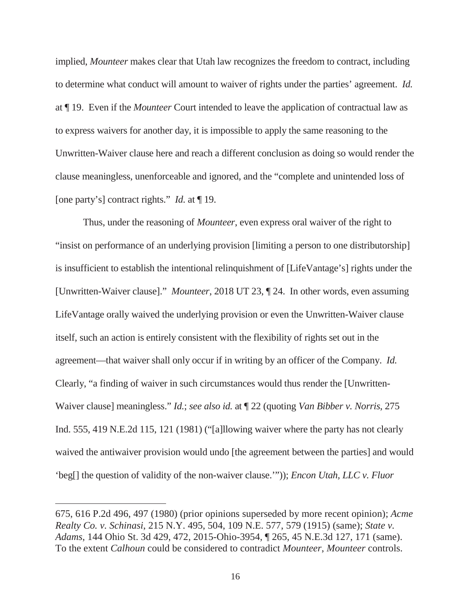implied, *Mounteer* makes clear that Utah law recognizes the freedom to contract, including to determine what conduct will amount to waiver of rights under the parties' agreement. *Id.* at ¶ 19. Even if the *Mounteer* Court intended to leave the application of contractual law as to express waivers for another day, it is impossible to apply the same reasoning to the Unwritten-Waiver clause here and reach a different conclusion as doing so would render the clause meaningless, unenforceable and ignored, and the "complete and unintended loss of [one party's] contract rights." *Id.* at ¶ 19.

Thus, under the reasoning of *Mounteer*, even express oral waiver of the right to "insist on performance of an underlying provision [limiting a person to one distributorship] is insufficient to establish the intentional relinquishment of [LifeVantage's] rights under the [Unwritten-Waiver clause]." *Mounteer*, 2018 UT 23, ¶ 24. In other words, even assuming LifeVantage orally waived the underlying provision or even the Unwritten-Waiver clause itself, such an action is entirely consistent with the flexibility of rights set out in the agreement—that waiver shall only occur if in writing by an officer of the Company. *Id.* Clearly, "a finding of waiver in such circumstances would thus render the [Unwritten-Waiver clause] meaningless." *Id.*; *see also id.* at ¶ 22 (quoting *Van Bibber v. Norris*, 275 Ind. 555, 419 N.E.2d 115, 121 (1981) ("[a]llowing waiver where the party has not clearly waived the antiwaiver provision would undo [the agreement between the parties] and would 'beg[] the question of validity of the non-waiver clause.'")); *Encon Utah, LLC v. Fluor* 

<sup>675, 616</sup> P.2d 496, 497 (1980) (prior opinions superseded by more recent opinion); *Acme Realty Co. v. Schinasi*, 215 N.Y. 495, 504, 109 N.E. 577, 579 (1915) (same); *State v. Adams*, 144 Ohio St. 3d 429, 472, 2015-Ohio-3954, ¶ 265, 45 N.E.3d 127, 171 (same). To the extent *Calhoun* could be considered to contradict *Mounteer*, *Mounteer* controls.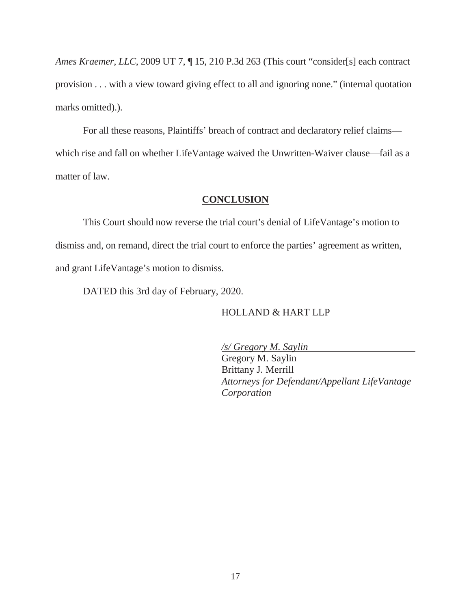*Ames Kraemer, LLC*, 2009 UT 7, ¶ 15, 210 P.3d 263 (This court "consider[s] each contract provision . . . with a view toward giving effect to all and ignoring none." (internal quotation marks omitted).).

For all these reasons, Plaintiffs' breach of contract and declaratory relief claims which rise and fall on whether LifeVantage waived the Unwritten-Waiver clause—fail as a matter of law.

### **CONCLUSION**

This Court should now reverse the trial court's denial of LifeVantage's motion to dismiss and, on remand, direct the trial court to enforce the parties' agreement as written, and grant LifeVantage's motion to dismiss.

DATED this 3rd day of February, 2020.

HOLLAND & HART LLP

*/s/ Gregory M. Saylin* 

Gregory M. Saylin Brittany J. Merrill *Attorneys for Defendant/Appellant LifeVantage Corporation*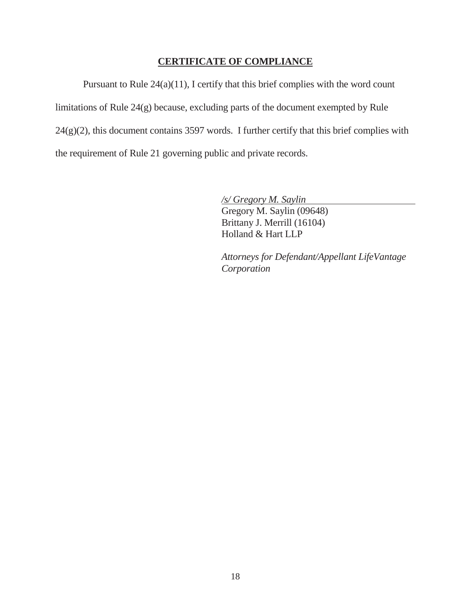## **CERTIFICATE OF COMPLIANCE**

 Pursuant to Rule 24(a)(11), I certify that this brief complies with the word count limitations of Rule 24(g) because, excluding parts of the document exempted by Rule  $24(g)(2)$ , this document contains 3597 words. I further certify that this brief complies with the requirement of Rule 21 governing public and private records.

*/s/ Gregory M. Saylin*

Gregory M. Saylin (09648) Brittany J. Merrill (16104) Holland & Hart LLP

*Attorneys for Defendant/Appellant LifeVantage Corporation*